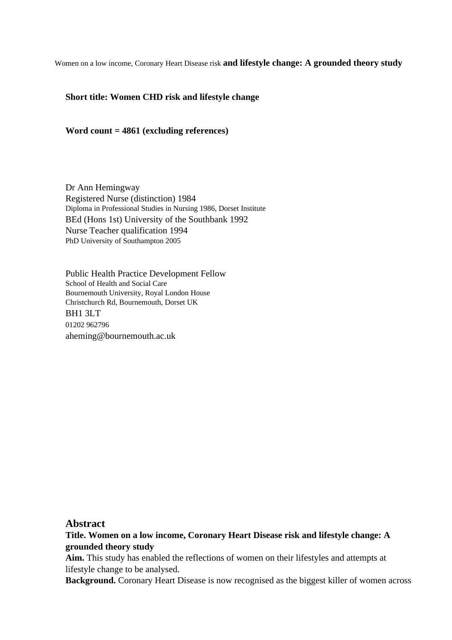Women on a low income, Coronary Heart Disease risk **and lifestyle change: A grounded theory study**

### **Short title: Women CHD risk and lifestyle change**

#### **Word count = 4861 (excluding references)**

Dr Ann Hemingway Registered Nurse (distinction) 1984 Diploma in Professional Studies in Nursing 1986, Dorset Institute BEd (Hons 1st) University of the Southbank 1992 Nurse Teacher qualification 1994 PhD University of Southampton 2005

Public Health Practice Development Fellow School of Health and Social Care Bournemouth University, Royal London House Christchurch Rd, Bournemouth, Dorset UK BH1 3LT 01202 962796 aheming@bournemouth.ac.uk

### **Abstract**

**Title. Women on a low income, Coronary Heart Disease risk and lifestyle change: A grounded theory study**

**Aim.** This study has enabled the reflections of women on their lifestyles and attempts at lifestyle change to be analysed.

**Background.** Coronary Heart Disease is now recognised as the biggest killer of women across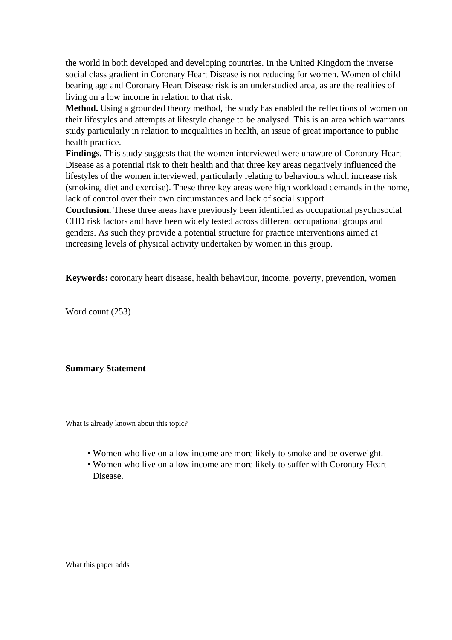the world in both developed and developing countries. In the United Kingdom the inverse social class gradient in Coronary Heart Disease is not reducing for women. Women of child bearing age and Coronary Heart Disease risk is an understudied area, as are the realities of living on a low income in relation to that risk.

**Method.** Using a grounded theory method, the study has enabled the reflections of women on their lifestyles and attempts at lifestyle change to be analysed. This is an area which warrants study particularly in relation to inequalities in health, an issue of great importance to public health practice.

**Findings.** This study suggests that the women interviewed were unaware of Coronary Heart Disease as a potential risk to their health and that three key areas negatively influenced the lifestyles of the women interviewed, particularly relating to behaviours which increase risk (smoking, diet and exercise). These three key areas were high workload demands in the home, lack of control over their own circumstances and lack of social support.

**Conclusion.** These three areas have previously been identified as occupational psychosocial CHD risk factors and have been widely tested across different occupational groups and genders. As such they provide a potential structure for practice interventions aimed at increasing levels of physical activity undertaken by women in this group.

**Keywords:** coronary heart disease, health behaviour, income, poverty, prevention, women

Word count (253)

### **Summary Statement**

What is already known about this topic?

- Women who live on a low income are more likely to smoke and be overweight.
- Women who live on a low income are more likely to suffer with Coronary Heart Disease.

What this paper adds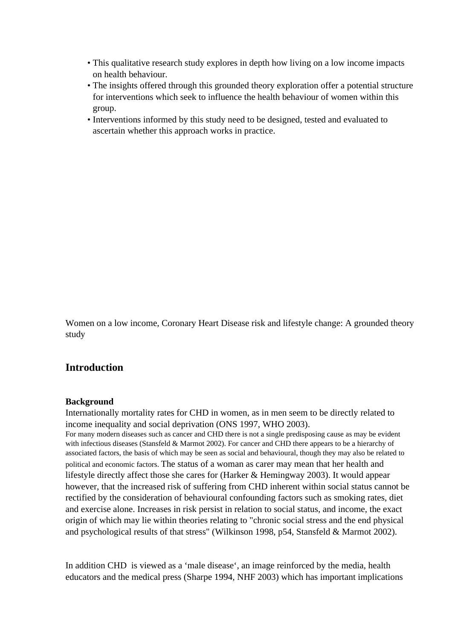- This qualitative research study explores in depth how living on a low income impacts on health behaviour.
- The insights offered through this grounded theory exploration offer a potential structure for interventions which seek to influence the health behaviour of women within this group.
- Interventions informed by this study need to be designed, tested and evaluated to ascertain whether this approach works in practice.

Women on a low income, Coronary Heart Disease risk and lifestyle change: A grounded theory study

# **Introduction**

#### **Background**

Internationally mortality rates for CHD in women, as in men seem to be directly related to income inequality and social deprivation (ONS 1997, WHO 2003). For many modern diseases such as cancer and CHD there is not a single predisposing cause as may be evident with infectious diseases (Stansfeld & Marmot 2002). For cancer and CHD there appears to be a hierarchy of associated factors, the basis of which may be seen as social and behavioural, though they may also be related to political and economic factors. The status of a woman as carer may mean that her health and lifestyle directly affect those she cares for (Harker & Hemingway 2003). It would appear however, that the increased risk of suffering from CHD inherent within social status cannot be rectified by the consideration of behavioural confounding factors such as smoking rates, diet and exercise alone. Increases in risk persist in relation to social status, and income, the exact origin of which may lie within theories relating to "chronic social stress and the end physical and psychological results of that stress" (Wilkinson 1998, p54, Stansfeld & Marmot 2002).

In addition CHD is viewed as a 'male disease', an image reinforced by the media, health educators and the medical press (Sharpe 1994, NHF 2003) which has important implications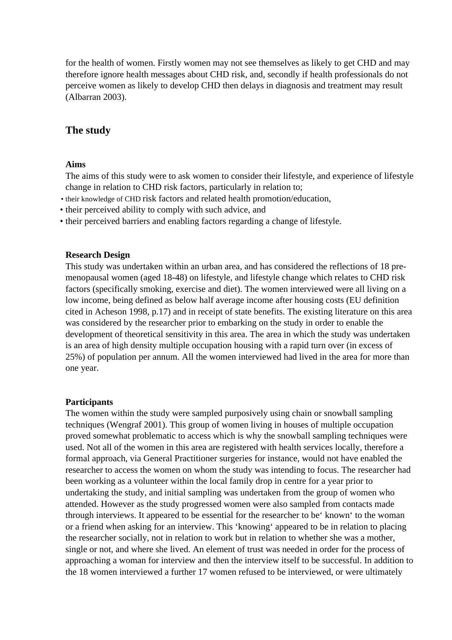for the health of women. Firstly women may not see themselves as likely to get CHD and may therefore ignore health messages about CHD risk, and, secondly if health professionals do not perceive women as likely to develop CHD then delays in diagnosis and treatment may result (Albarran 2003).

## **The study**

#### **Aims**

The aims of this study were to ask women to consider their lifestyle, and experience of lifestyle change in relation to CHD risk factors, particularly in relation to;

- their knowledge of CHD risk factors and related health promotion/education,
- their perceived ability to comply with such advice, and
- their perceived barriers and enabling factors regarding a change of lifestyle.

#### **Research Design**

This study was undertaken within an urban area, and has considered the reflections of 18 premenopausal women (aged 18-48) on lifestyle, and lifestyle change which relates to CHD risk factors (specifically smoking, exercise and diet). The women interviewed were all living on a low income, being defined as below half average income after housing costs (EU definition cited in Acheson 1998, p.17) and in receipt of state benefits. The existing literature on this area was considered by the researcher prior to embarking on the study in order to enable the development of theoretical sensitivity in this area. The area in which the study was undertaken is an area of high density multiple occupation housing with a rapid turn over (in excess of 25%) of population per annum. All the women interviewed had lived in the area for more than one year.

#### **Participants**

The women within the study were sampled purposively using chain or snowball sampling techniques (Wengraf 2001). This group of women living in houses of multiple occupation proved somewhat problematic to access which is why the snowball sampling techniques were used. Not all of the women in this area are registered with health services locally, therefore a formal approach, via General Practitioner surgeries for instance, would not have enabled the researcher to access the women on whom the study was intending to focus. The researcher had been working as a volunteer within the local family drop in centre for a year prior to undertaking the study, and initial sampling was undertaken from the group of women who attended. However as the study progressed women were also sampled from contacts made through interviews. It appeared to be essential for the researcher to be' known' to the woman or a friend when asking for an interview. This 'knowing' appeared to be in relation to placing the researcher socially, not in relation to work but in relation to whether she was a mother, single or not, and where she lived. An element of trust was needed in order for the process of approaching a woman for interview and then the interview itself to be successful. In addition to the 18 women interviewed a further 17 women refused to be interviewed, or were ultimately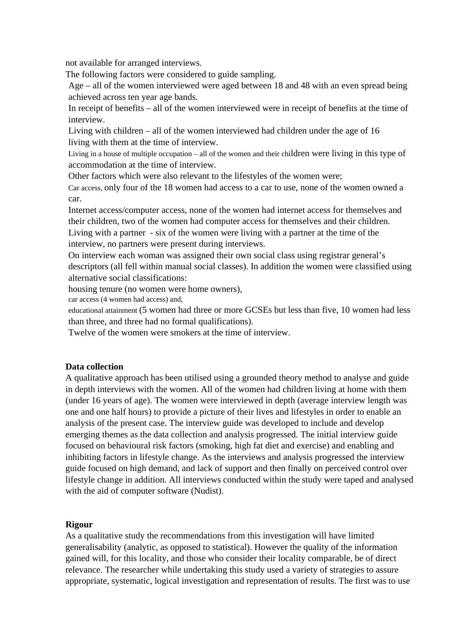not available for arranged interviews.

The following factors were considered to guide sampling.

Age – all of the women interviewed were aged between 18 and 48 with an even spread being achieved across ten year age bands.

In receipt of benefits – all of the women interviewed were in receipt of benefits at the time of interview.

Living with children – all of the women interviewed had children under the age of 16 living with them at the time of interview.

Living in a house of multiple occupation – all of the women and their children were living in this type of accommodation at the time of interview.

Other factors which were also relevant to the lifestyles of the women were;

Car access, only four of the 18 women had access to a car to use, none of the women owned a car.

Internet access/computer access, none of the women had internet access for themselves and their children, two of the women had computer access for themselves and their children. Living with a partner - six of the women were living with a partner at the time of the interview, no partners were present during interviews.

On interview each woman was assigned their own social class using registrar general's descriptors (all fell within manual social classes). In addition the women were classified using alternative social classifications:

housing tenure (no women were home owners),

car access (4 women had access) and,

educational attainment (5 women had three or more GCSEs but less than five, 10 women had less than three, and three had no formal qualifications).

Twelve of the women were smokers at the time of interview.

#### **Data collection**

A qualitative approach has been utilised using a grounded theory method to analyse and guide in depth interviews with the women. All of the women had children living at home with them (under 16 years of age). The women were interviewed in depth (average interview length was one and one half hours) to provide a picture of their lives and lifestyles in order to enable an analysis of the present case. The interview guide was developed to include and develop emerging themes as the data collection and analysis progressed. The initial interview guide focused on behavioural risk factors (smoking, high fat diet and exercise) and enabling and inhibiting factors in lifestyle change. As the interviews and analysis progressed the interview guide focused on high demand, and lack of support and then finally on perceived control over lifestyle change in addition. All interviews conducted within the study were taped and analysed with the aid of computer software (Nudist).

#### **Rigour**

As a qualitative study the recommendations from this investigation will have limited generalisability (analytic, as opposed to statistical). However the quality of the information gained will, for this locality, and those who consider their locality comparable, be of direct relevance. The researcher while undertaking this study used a variety of strategies to assure appropriate, systematic, logical investigation and representation of results. The first was to use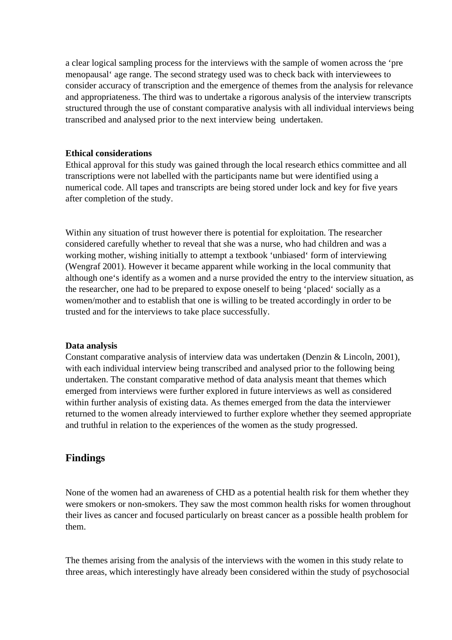a clear logical sampling process for the interviews with the sample of women across the 'pre menopausal' age range. The second strategy used was to check back with interviewees to consider accuracy of transcription and the emergence of themes from the analysis for relevance and appropriateness. The third was to undertake a rigorous analysis of the interview transcripts structured through the use of constant comparative analysis with all individual interviews being transcribed and analysed prior to the next interview being undertaken.

#### **Ethical considerations**

Ethical approval for this study was gained through the local research ethics committee and all transcriptions were not labelled with the participants name but were identified using a numerical code. All tapes and transcripts are being stored under lock and key for five years after completion of the study.

Within any situation of trust however there is potential for exploitation. The researcher considered carefully whether to reveal that she was a nurse, who had children and was a working mother, wishing initially to attempt a textbook 'unbiased' form of interviewing (Wengraf 2001). However it became apparent while working in the local community that although one's identify as a women and a nurse provided the entry to the interview situation, as the researcher, one had to be prepared to expose oneself to being 'placed' socially as a women/mother and to establish that one is willing to be treated accordingly in order to be trusted and for the interviews to take place successfully.

#### **Data analysis**

Constant comparative analysis of interview data was undertaken (Denzin & Lincoln, 2001), with each individual interview being transcribed and analysed prior to the following being undertaken. The constant comparative method of data analysis meant that themes which emerged from interviews were further explored in future interviews as well as considered within further analysis of existing data. As themes emerged from the data the interviewer returned to the women already interviewed to further explore whether they seemed appropriate and truthful in relation to the experiences of the women as the study progressed.

### **Findings**

None of the women had an awareness of CHD as a potential health risk for them whether they were smokers or non-smokers. They saw the most common health risks for women throughout their lives as cancer and focused particularly on breast cancer as a possible health problem for them.

The themes arising from the analysis of the interviews with the women in this study relate to three areas, which interestingly have already been considered within the study of psychosocial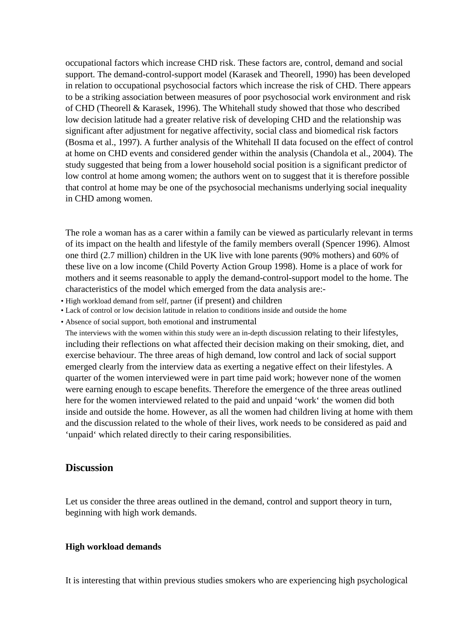occupational factors which increase CHD risk. These factors are, control, demand and social support. The demand-control-support model (Karasek and Theorell, 1990) has been developed in relation to occupational psychosocial factors which increase the risk of CHD. There appears to be a striking association between measures of poor psychosocial work environment and risk of CHD (Theorell & Karasek, 1996). The Whitehall study showed that those who described low decision latitude had a greater relative risk of developing CHD and the relationship was significant after adjustment for negative affectivity, social class and biomedical risk factors (Bosma et al., 1997). A further analysis of the Whitehall II data focused on the effect of control at home on CHD events and considered gender within the analysis (Chandola et al., 2004). The study suggested that being from a lower household social position is a significant predictor of low control at home among women; the authors went on to suggest that it is therefore possible that control at home may be one of the psychosocial mechanisms underlying social inequality in CHD among women.

The role a woman has as a carer within a family can be viewed as particularly relevant in terms of its impact on the health and lifestyle of the family members overall (Spencer 1996). Almost one third (2.7 million) children in the UK live with lone parents (90% mothers) and 60% of these live on a low income (Child Poverty Action Group 1998). Home is a place of work for mothers and it seems reasonable to apply the demand-control-support model to the home. The characteristics of the model which emerged from the data analysis are:-

- High workload demand from self, partner (if present) and children
- Lack of control or low decision latitude in relation to conditions inside and outside the home
- Absence of social support, both emotional and instrumental

The interviews with the women within this study were an in-depth discussion relating to their lifestyles, including their reflections on what affected their decision making on their smoking, diet, and exercise behaviour. The three areas of high demand, low control and lack of social support emerged clearly from the interview data as exerting a negative effect on their lifestyles. A quarter of the women interviewed were in part time paid work; however none of the women were earning enough to escape benefits. Therefore the emergence of the three areas outlined here for the women interviewed related to the paid and unpaid 'work' the women did both inside and outside the home. However, as all the women had children living at home with them and the discussion related to the whole of their lives, work needs to be considered as paid and 'unpaid' which related directly to their caring responsibilities.

## **Discussion**

Let us consider the three areas outlined in the demand, control and support theory in turn, beginning with high work demands.

#### **High workload demands**

It is interesting that within previous studies smokers who are experiencing high psychological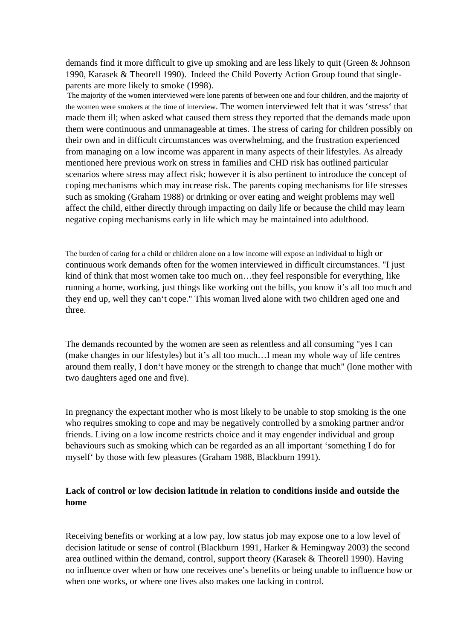demands find it more difficult to give up smoking and are less likely to quit (Green & Johnson 1990, Karasek & Theorell 1990). Indeed the Child Poverty Action Group found that singleparents are more likely to smoke (1998).

 The majority of the women interviewed were lone parents of between one and four children, and the majority of the women were smokers at the time of interview. The women interviewed felt that it was 'stress' that made them ill; when asked what caused them stress they reported that the demands made upon them were continuous and unmanageable at times. The stress of caring for children possibly on their own and in difficult circumstances was overwhelming, and the frustration experienced from managing on a low income was apparent in many aspects of their lifestyles. As already mentioned here previous work on stress in families and CHD risk has outlined particular scenarios where stress may affect risk; however it is also pertinent to introduce the concept of coping mechanisms which may increase risk. The parents coping mechanisms for life stresses such as smoking (Graham 1988) or drinking or over eating and weight problems may well affect the child, either directly through impacting on daily life or because the child may learn negative coping mechanisms early in life which may be maintained into adulthood.

The burden of caring for a child or children alone on a low income will expose an individual to high or continuous work demands often for the women interviewed in difficult circumstances. "I just kind of think that most women take too much on…they feel responsible for everything, like running a home, working, just things like working out the bills, you know it's all too much and they end up, well they can't cope." This woman lived alone with two children aged one and three.

The demands recounted by the women are seen as relentless and all consuming "yes I can (make changes in our lifestyles) but it's all too much…I mean my whole way of life centres around them really, I don't have money or the strength to change that much" (lone mother with two daughters aged one and five).

In pregnancy the expectant mother who is most likely to be unable to stop smoking is the one who requires smoking to cope and may be negatively controlled by a smoking partner and/or friends. Living on a low income restricts choice and it may engender individual and group behaviours such as smoking which can be regarded as an all important 'something I do for myself' by those with few pleasures (Graham 1988, Blackburn 1991).

### **Lack of control or low decision latitude in relation to conditions inside and outside the home**

Receiving benefits or working at a low pay, low status job may expose one to a low level of decision latitude or sense of control (Blackburn 1991, Harker & Hemingway 2003) the second area outlined within the demand, control, support theory (Karasek & Theorell 1990). Having no influence over when or how one receives one's benefits or being unable to influence how or when one works, or where one lives also makes one lacking in control.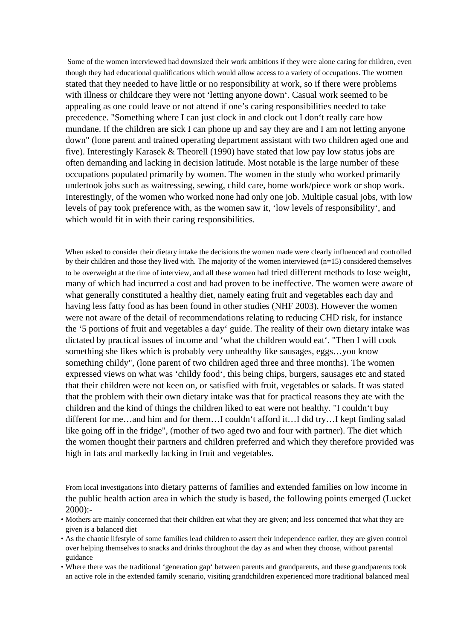Some of the women interviewed had downsized their work ambitions if they were alone caring for children, even though they had educational qualifications which would allow access to a variety of occupations. The women stated that they needed to have little or no responsibility at work, so if there were problems with illness or childcare they were not 'letting anyone down'. Casual work seemed to be appealing as one could leave or not attend if one's caring responsibilities needed to take precedence. "Something where I can just clock in and clock out I don't really care how mundane. If the children are sick I can phone up and say they are and I am not letting anyone down" (lone parent and trained operating department assistant with two children aged one and five). Interestingly Karasek & Theorell (1990) have stated that low pay low status jobs are often demanding and lacking in decision latitude. Most notable is the large number of these occupations populated primarily by women. The women in the study who worked primarily undertook jobs such as waitressing, sewing, child care, home work/piece work or shop work. Interestingly, of the women who worked none had only one job. Multiple casual jobs, with low levels of pay took preference with, as the women saw it, 'low levels of responsibility', and which would fit in with their caring responsibilities.

When asked to consider their dietary intake the decisions the women made were clearly influenced and controlled by their children and those they lived with. The majority of the women interviewed (n=15) considered themselves to be overweight at the time of interview, and all these women had tried different methods to lose weight, many of which had incurred a cost and had proven to be ineffective. The women were aware of what generally constituted a healthy diet, namely eating fruit and vegetables each day and having less fatty food as has been found in other studies (NHF 2003). However the women were not aware of the detail of recommendations relating to reducing CHD risk, for instance the '5 portions of fruit and vegetables a day' guide. The reality of their own dietary intake was dictated by practical issues of income and 'what the children would eat'. "Then I will cook something she likes which is probably very unhealthy like sausages, eggs…you know something childy", (lone parent of two children aged three and three months). The women expressed views on what was 'childy food', this being chips, burgers, sausages etc and stated that their children were not keen on, or satisfied with fruit, vegetables or salads. It was stated that the problem with their own dietary intake was that for practical reasons they ate with the children and the kind of things the children liked to eat were not healthy. "I couldn't buy different for me…and him and for them…I couldn't afford it…I did try…I kept finding salad like going off in the fridge", (mother of two aged two and four with partner). The diet which the women thought their partners and children preferred and which they therefore provided was high in fats and markedly lacking in fruit and vegetables.

From local investigations into dietary patterns of families and extended families on low income in the public health action area in which the study is based, the following points emerged (Lucket  $2000$ :-

- Mothers are mainly concerned that their children eat what they are given; and less concerned that what they are given is a balanced diet
- As the chaotic lifestyle of some families lead children to assert their independence earlier, they are given control over helping themselves to snacks and drinks throughout the day as and when they choose, without parental guidance
- Where there was the traditional 'generation gap' between parents and grandparents, and these grandparents took an active role in the extended family scenario, visiting grandchildren experienced more traditional balanced meal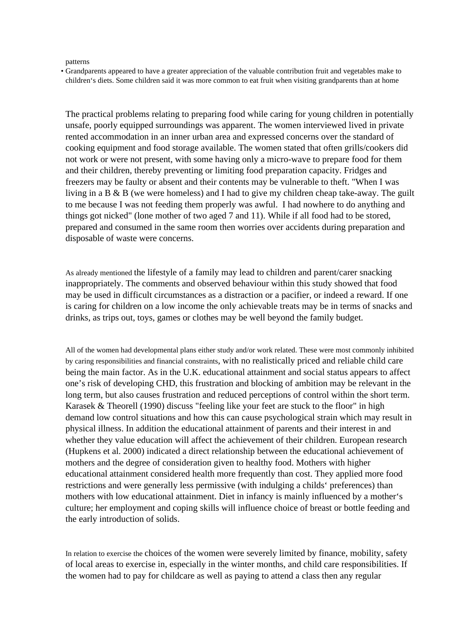#### patterns

• Grandparents appeared to have a greater appreciation of the valuable contribution fruit and vegetables make to children's diets. Some children said it was more common to eat fruit when visiting grandparents than at home

The practical problems relating to preparing food while caring for young children in potentially unsafe, poorly equipped surroundings was apparent. The women interviewed lived in private rented accommodation in an inner urban area and expressed concerns over the standard of cooking equipment and food storage available. The women stated that often grills/cookers did not work or were not present, with some having only a micro-wave to prepare food for them and their children, thereby preventing or limiting food preparation capacity. Fridges and freezers may be faulty or absent and their contents may be vulnerable to theft. "When I was living in a B & B (we were homeless) and I had to give my children cheap take-away. The guilt to me because I was not feeding them properly was awful. I had nowhere to do anything and things got nicked" (lone mother of two aged 7 and 11). While if all food had to be stored, prepared and consumed in the same room then worries over accidents during preparation and disposable of waste were concerns.

As already mentioned the lifestyle of a family may lead to children and parent/carer snacking inappropriately. The comments and observed behaviour within this study showed that food may be used in difficult circumstances as a distraction or a pacifier, or indeed a reward. If one is caring for children on a low income the only achievable treats may be in terms of snacks and drinks, as trips out, toys, games or clothes may be well beyond the family budget.

All of the women had developmental plans either study and/or work related. These were most commonly inhibited by caring responsibilities and financial constraints, with no realistically priced and reliable child care being the main factor. As in the U.K. educational attainment and social status appears to affect one's risk of developing CHD, this frustration and blocking of ambition may be relevant in the long term, but also causes frustration and reduced perceptions of control within the short term. Karasek & Theorell (1990) discuss "feeling like your feet are stuck to the floor" in high demand low control situations and how this can cause psychological strain which may result in physical illness. In addition the educational attainment of parents and their interest in and whether they value education will affect the achievement of their children. European research (Hupkens et al. 2000) indicated a direct relationship between the educational achievement of mothers and the degree of consideration given to healthy food. Mothers with higher educational attainment considered health more frequently than cost. They applied more food restrictions and were generally less permissive (with indulging a childs' preferences) than mothers with low educational attainment. Diet in infancy is mainly influenced by a mother's culture; her employment and coping skills will influence choice of breast or bottle feeding and the early introduction of solids.

In relation to exercise the choices of the women were severely limited by finance, mobility, safety of local areas to exercise in, especially in the winter months, and child care responsibilities. If the women had to pay for childcare as well as paying to attend a class then any regular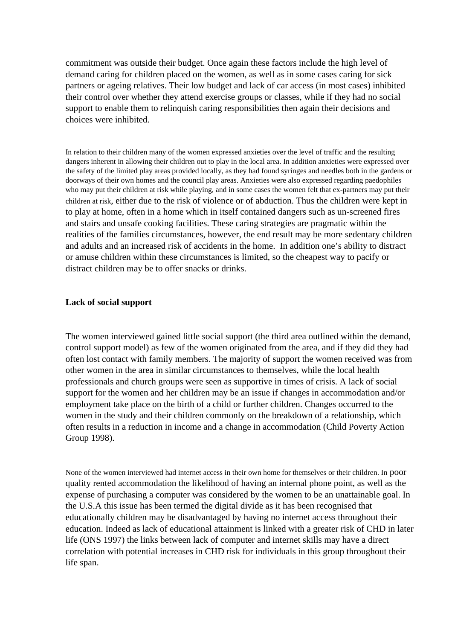commitment was outside their budget. Once again these factors include the high level of demand caring for children placed on the women, as well as in some cases caring for sick partners or ageing relatives. Their low budget and lack of car access (in most cases) inhibited their control over whether they attend exercise groups or classes, while if they had no social support to enable them to relinquish caring responsibilities then again their decisions and choices were inhibited.

In relation to their children many of the women expressed anxieties over the level of traffic and the resulting dangers inherent in allowing their children out to play in the local area. In addition anxieties were expressed over the safety of the limited play areas provided locally, as they had found syringes and needles both in the gardens or doorways of their own homes and the council play areas. Anxieties were also expressed regarding paedophiles who may put their children at risk while playing, and in some cases the women felt that ex-partners may put their children at risk, either due to the risk of violence or of abduction. Thus the children were kept in to play at home, often in a home which in itself contained dangers such as un-screened fires and stairs and unsafe cooking facilities. These caring strategies are pragmatic within the realities of the families circumstances, however, the end result may be more sedentary children and adults and an increased risk of accidents in the home. In addition one's ability to distract or amuse children within these circumstances is limited, so the cheapest way to pacify or distract children may be to offer snacks or drinks.

#### **Lack of social support**

The women interviewed gained little social support (the third area outlined within the demand, control support model) as few of the women originated from the area, and if they did they had often lost contact with family members. The majority of support the women received was from other women in the area in similar circumstances to themselves, while the local health professionals and church groups were seen as supportive in times of crisis. A lack of social support for the women and her children may be an issue if changes in accommodation and/or employment take place on the birth of a child or further children. Changes occurred to the women in the study and their children commonly on the breakdown of a relationship, which often results in a reduction in income and a change in accommodation (Child Poverty Action Group 1998).

None of the women interviewed had internet access in their own home for themselves or their children. In poor quality rented accommodation the likelihood of having an internal phone point, as well as the expense of purchasing a computer was considered by the women to be an unattainable goal. In the U.S.A this issue has been termed the digital divide as it has been recognised that educationally children may be disadvantaged by having no internet access throughout their education. Indeed as lack of educational attainment is linked with a greater risk of CHD in later life (ONS 1997) the links between lack of computer and internet skills may have a direct correlation with potential increases in CHD risk for individuals in this group throughout their life span.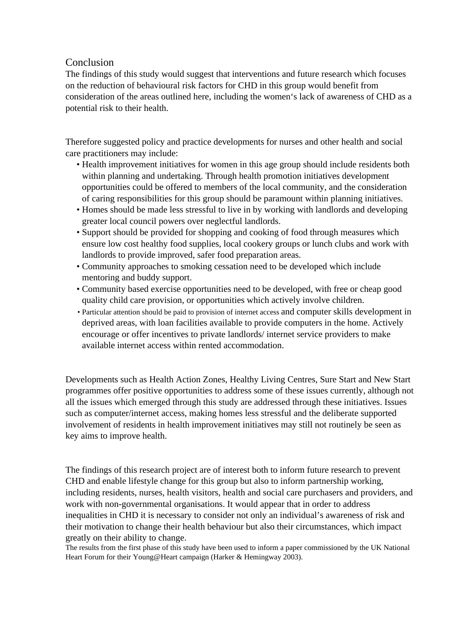# Conclusion

The findings of this study would suggest that interventions and future research which focuses on the reduction of behavioural risk factors for CHD in this group would benefit from consideration of the areas outlined here, including the women's lack of awareness of CHD as a potential risk to their health.

Therefore suggested policy and practice developments for nurses and other health and social care practitioners may include:

- Health improvement initiatives for women in this age group should include residents both within planning and undertaking. Through health promotion initiatives development opportunities could be offered to members of the local community, and the consideration of caring responsibilities for this group should be paramount within planning initiatives.
- Homes should be made less stressful to live in by working with landlords and developing greater local council powers over neglectful landlords.
- Support should be provided for shopping and cooking of food through measures which ensure low cost healthy food supplies, local cookery groups or lunch clubs and work with landlords to provide improved, safer food preparation areas.
- Community approaches to smoking cessation need to be developed which include mentoring and buddy support.
- Community based exercise opportunities need to be developed, with free or cheap good quality child care provision, or opportunities which actively involve children.
- Particular attention should be paid to provision of internet access and computer skills development in deprived areas, with loan facilities available to provide computers in the home. Actively encourage or offer incentives to private landlords/ internet service providers to make available internet access within rented accommodation.

Developments such as Health Action Zones, Healthy Living Centres, Sure Start and New Start programmes offer positive opportunities to address some of these issues currently, although not all the issues which emerged through this study are addressed through these initiatives. Issues such as computer/internet access, making homes less stressful and the deliberate supported involvement of residents in health improvement initiatives may still not routinely be seen as key aims to improve health.

The findings of this research project are of interest both to inform future research to prevent CHD and enable lifestyle change for this group but also to inform partnership working, including residents, nurses, health visitors, health and social care purchasers and providers, and work with non-governmental organisations. It would appear that in order to address inequalities in CHD it is necessary to consider not only an individual's awareness of risk and their motivation to change their health behaviour but also their circumstances, which impact greatly on their ability to change.

The results from the first phase of this study have been used to inform a paper commissioned by the UK National Heart Forum for their Young@Heart campaign (Harker & Hemingway 2003).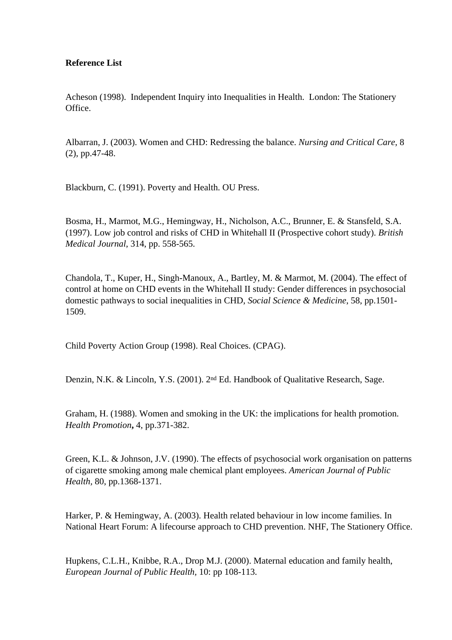### **Reference List**

Acheson (1998). Independent Inquiry into Inequalities in Health.London: The Stationery Office.

Albarran, J. (2003). Women and CHD: Redressing the balance. *Nursing and Critical Care*, 8 (2), pp.47-48.

Blackburn, C. (1991). Poverty and Health. OU Press.

Bosma, H., Marmot, M.G., Hemingway, H., Nicholson, A.C., Brunner, E. & Stansfeld, S.A. (1997). Low job control and risks of CHD in Whitehall II (Prospective cohort study). *British Medical Journal*, 314, pp. 558-565.

Chandola, T., Kuper, H., Singh-Manoux, A., Bartley, M. & Marmot, M. (2004). The effect of control at home on CHD events in the Whitehall II study: Gender differences in psychosocial domestic pathways to social inequalities in CHD, *Social Science & Medicine*, 58, pp.1501- 1509.

Child Poverty Action Group (1998). Real Choices. (CPAG).

Denzin, N.K. & Lincoln, Y.S. (2001). 2nd Ed. Handbook of Qualitative Research, Sage.

Graham, H. (1988). Women and smoking in the UK: the implications for health promotion. *Health Promotion***,** 4, pp.371-382.

Green, K.L. & Johnson, J.V. (1990). The effects of psychosocial work organisation on patterns of cigarette smoking among male chemical plant employees. *American Journal of Public Health,* 80, pp.1368-1371.

Harker, P. & Hemingway, A. (2003). Health related behaviour in low income families. In National Heart Forum: A lifecourse approach to CHD prevention. NHF, The Stationery Office.

Hupkens, C.L.H., Knibbe, R.A., Drop M.J. (2000). Maternal education and family health, *European Journal of Public Health,* 10: pp 108-113.